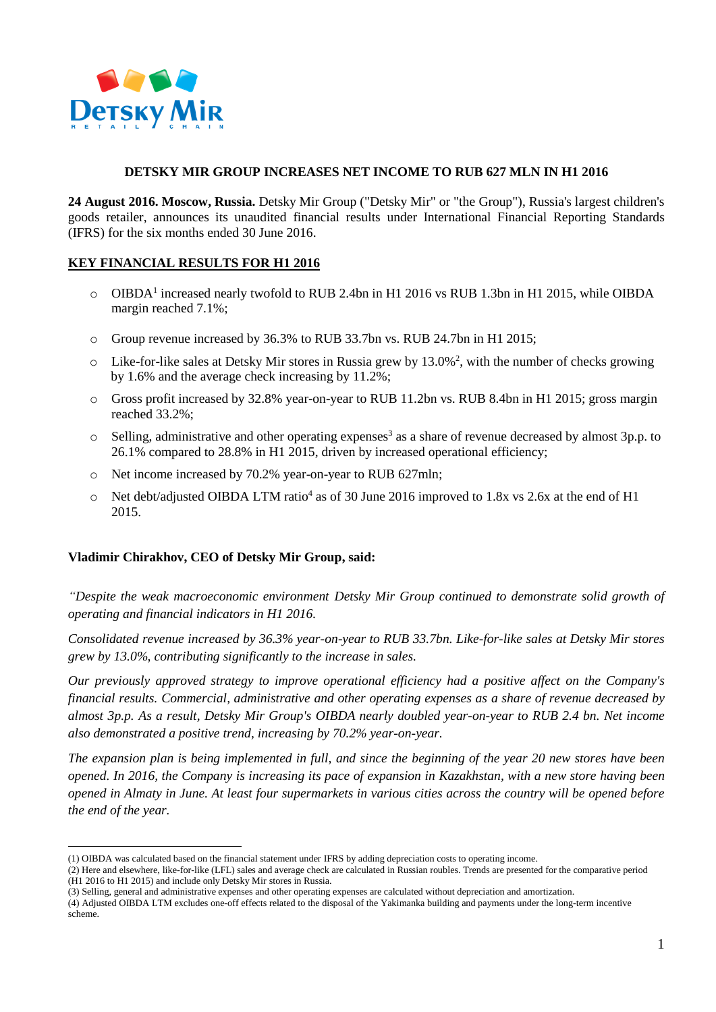

## **DETSKY MIR GROUP INCREASES NET INCOME TO RUB 627 MLN IN H1 2016**

**24 August 2016. Moscow, Russia.** Detsky Mir Group ("Detsky Mir" or "the Group"), Russia's largest children's goods retailer, announces its unaudited financial results under International Financial Reporting Standards (IFRS) for the six months ended 30 June 2016.

# **KEY FINANCIAL RESULTS FOR H1 2016**

- o OIBDA<sup>1</sup> increased nearly twofold to RUB 2.4bn in H1 2016 vs RUB 1.3bn in H1 2015, while OIBDA margin reached 7.1%;
- o Group revenue increased by 36.3% to RUB 33.7bn vs. RUB 24.7bn in H1 2015;
- $\circ$  Like-for-like sales at Detsky Mir stores in Russia grew by 13.0%<sup>2</sup>, with the number of checks growing by 1.6% and the average check increasing by 11.2%;
- o Gross profit increased by 32.8% year-on-year to RUB 11.2bn vs. RUB 8.4bn in H1 2015; gross margin reached 33.2%;
- $\circ$  Selling, administrative and other operating expenses<sup>3</sup> as a share of revenue decreased by almost 3p.p. to 26.1% compared to 28.8% in H1 2015, driven by increased operational efficiency;
- o Net income increased by 70.2% year-on-year to RUB 627mln;
- o Net debt/adjusted OIBDA LTM ratio<sup>4</sup> as of 30 June 2016 improved to 1.8x vs 2.6x at the end of H1 2015.

## **Vladimir Chirakhov, CEO of Detsky Mir Group, said:**

<u>.</u>

*"Despite the weak macroeconomic environment Detsky Mir Group continued to demonstrate solid growth of operating and financial indicators in H1 2016.*

*Consolidated revenue increased by 36.3% year-on-year to RUB 33.7bn. Like-for-like sales at Detsky Mir stores grew by 13.0%, contributing significantly to the increase in sales.*

*Our previously approved strategy to improve operational efficiency had a positive affect on the Company's financial results. Commercial, administrative and other operating expenses as a share of revenue decreased by almost 3p.p. As a result, Detsky Mir Group's OIBDA nearly doubled year-on-year to RUB 2.4 bn. Net income also demonstrated a positive trend, increasing by 70.2% year-on-year.*

*The expansion plan is being implemented in full, and since the beginning of the year 20 new stores have been opened. In 2016, the Company is increasing its pace of expansion in Kazakhstan, with a new store having been opened in Almaty in June. At least four supermarkets in various cities across the country will be opened before the end of the year.*

<sup>(1)</sup> OIBDA was calculated based on the financial statement under IFRS by adding depreciation costs to operating income.

<sup>(2)</sup> Here and elsewhere, like-for-like (LFL) sales and average check are calculated in Russian roubles. Trends are presented for the comparative period (H1 2016 to H1 2015) and include only Detsky Mir stores in Russia.

<sup>(3)</sup> Selling, general and administrative expenses and other operating expenses are calculated without depreciation and amortization.

<sup>(4)</sup> Adjusted OIBDA LTM excludes one-off effects related to the disposal of the Yakimanka building and payments under the long-term incentive scheme.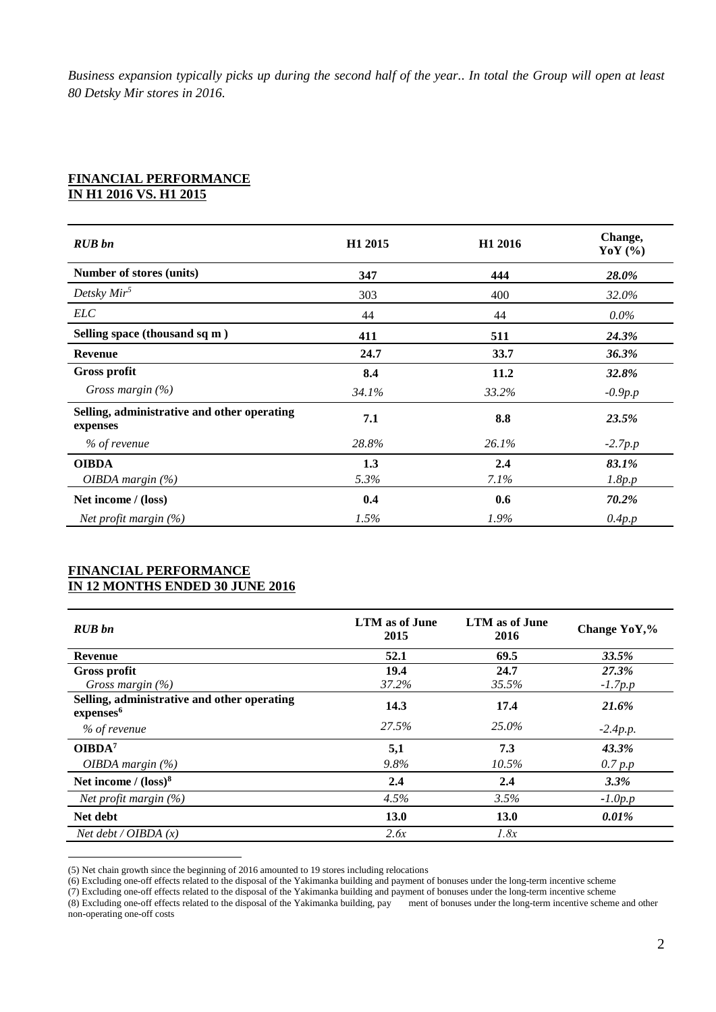*Business expansion typically picks up during the second half of the year.. In total the Group will open at least 80 Detsky Mir stores in 2016.*

### **FINANCIAL PERFORMANCE IN H1 2016 VS. H1 2015**

| <b>RUB</b> bn                                           | H <sub>1</sub> 2015 | H <sub>1</sub> 2016 | Change,<br>YoY $(%)$ |
|---------------------------------------------------------|---------------------|---------------------|----------------------|
| Number of stores (units)                                | 347                 | 444                 | <b>28.0%</b>         |
| Detsky $Mir^5$                                          | 303                 | 400                 | 32.0%                |
| <b>ELC</b>                                              | 44                  | 44                  | $0.0\%$              |
| Selling space (thousand sq m)                           | 411                 | 511                 | 24.3%                |
| <b>Revenue</b>                                          | 24.7                | 33.7                | 36.3%                |
| <b>Gross profit</b>                                     | 8.4                 | 11.2                | 32.8%                |
| Gross margin $(\%)$                                     | 34.1%               | 33.2%               | $-0.9p.p$            |
| Selling, administrative and other operating<br>expenses | 7.1                 | 8.8                 | 23.5%                |
| % of revenue                                            | 28.8%               | 26.1%               | $-2.7p.p$            |
| <b>OIBDA</b>                                            | 1.3                 | 2.4                 | 83.1%                |
| <i>OIBDA margin</i> $(\%)$                              | 5.3%                | 7.1%                | 1.8p.p               |
| Net income / (loss)                                     | 0.4                 | 0.6                 | 70.2%                |
| Net profit margin $(\%)$                                | 1.5%                | $1.9\%$             | 0.4p.p               |

#### **FINANCIAL PERFORMANCE IN 12 MONTHS ENDED 30 JUNE 2016**

1

| <b>RUB</b> bn                                                        | LTM as of June<br>2015 | LTM as of June<br>2016 | Change YoY,% |
|----------------------------------------------------------------------|------------------------|------------------------|--------------|
| <b>Revenue</b>                                                       | 52.1                   | 69.5                   | 33.5%        |
| Gross profit                                                         | 19.4                   | 24.7                   | 27.3%        |
| Gross margin $(\%)$                                                  | 37.2%                  | 35.5%                  | $-1.7p.p$    |
| Selling, administrative and other operating<br>expenses <sup>6</sup> | 14.3                   | 17.4                   | 21.6%        |
| % of revenue                                                         | 27.5%                  | 25.0%                  | $-2.4p.p.$   |
| OIBDA <sup>7</sup>                                                   | 5,1                    | 7.3                    | 43.3%        |
| <i>OIBDA margin</i> $(\%)$                                           | 9.8%                   | 10.5%                  | 0.7 p.p      |
| Net income / $(logs)^8$                                              | 2.4                    | 2.4                    | 3.3%         |
| Net profit margin $(\%)$                                             | 4.5%                   | 3.5%                   | $-1.0p.p$    |
| Net debt                                                             | 13.0                   | 13.0                   | 0.01%        |
| Net $debt / OIBDA(x)$                                                | 2.6x                   | 1.8x                   |              |

<sup>(5)</sup> Net chain growth since the beginning of 2016 amounted to 19 stores including relocations

<sup>(6)</sup> Excluding one-off effects related to the disposal of the Yakimanka building and payment of bonuses under the long-term incentive scheme

<sup>(7)</sup> Excluding one-off effects related to the disposal of the Yakimanka building and payment of bonuses under the long-term incentive scheme (7)

<sup>(8)</sup> Excluding one-off effects related to the disposal of the Yakimanka building, pay ment of bonuses under the long-term incentive scheme and other non-operating one-off costs